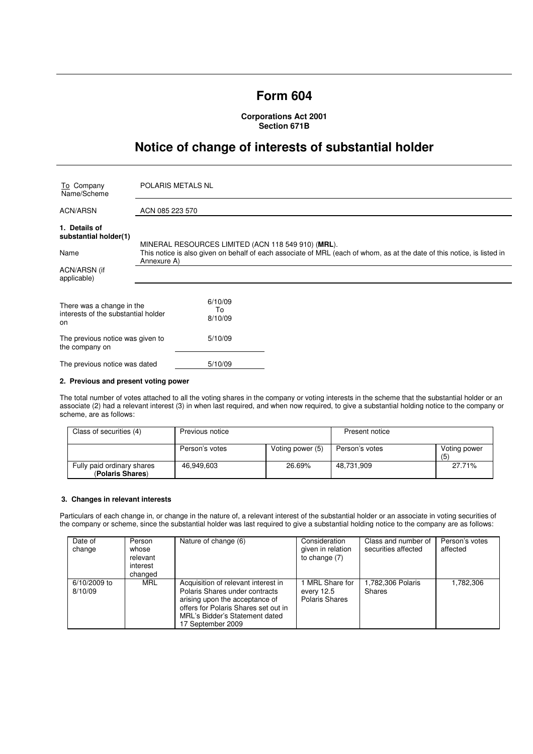# **Form 604**

**Corporations Act 2001 Section 671B** 

# **Notice of change of interests of substantial holder**

| To Company<br>Name/Scheme                                              | <b>POLARIS METALS NL</b>                                                                                                               |  |  |
|------------------------------------------------------------------------|----------------------------------------------------------------------------------------------------------------------------------------|--|--|
| ACN/ARSN                                                               | ACN 085 223 570                                                                                                                        |  |  |
| 1. Details of<br>substantial holder(1)                                 | MINERAL RESOURCES LIMITED (ACN 118 549 910) (MRL).                                                                                     |  |  |
| Name                                                                   | This notice is also given on behalf of each associate of MRL (each of whom, as at the date of this notice, is listed in<br>Annexure A) |  |  |
| ACN/ARSN (if<br>applicable)                                            |                                                                                                                                        |  |  |
| There was a change in the<br>interests of the substantial holder<br>on | 6/10/09<br>To<br>8/10/09                                                                                                               |  |  |
| The previous notice was given to<br>the company on                     | 5/10/09                                                                                                                                |  |  |
| The previous notice was dated                                          | 5/10/09                                                                                                                                |  |  |

### **2. Previous and present voting power**

The total number of votes attached to all the voting shares in the company or voting interests in the scheme that the substantial holder or an associate (2) had a relevant interest (3) in when last required, and when now required, to give a substantial holding notice to the company or scheme, are as follows:

| Class of securities (4)                        | Previous notice |                  | Present notice |                     |
|------------------------------------------------|-----------------|------------------|----------------|---------------------|
|                                                | Person's votes  | Voting power (5) | Person's votes | Voting power<br>(5) |
| Fully paid ordinary shares<br>(Polaris Shares) | 46,949,603      | 26.69%           | 48,731,909     | 27.71%              |

#### **3. Changes in relevant interests**

Particulars of each change in, or change in the nature of, a relevant interest of the substantial holder or an associate in voting securities of the company or scheme, since the substantial holder was last required to give a substantial holding notice to the company are as follows:

| Date of<br>change       | Person<br>whose<br>relevant<br>interest<br>changed | Nature of change (6)                                                                                                                                                                                   | Consideration<br>given in relation<br>to change (7) | Class and number of<br>securities affected | Person's votes<br>affected |
|-------------------------|----------------------------------------------------|--------------------------------------------------------------------------------------------------------------------------------------------------------------------------------------------------------|-----------------------------------------------------|--------------------------------------------|----------------------------|
| 6/10/2009 to<br>8/10/09 | MRL                                                | Acquisition of relevant interest in<br>Polaris Shares under contracts<br>arising upon the acceptance of<br>offers for Polaris Shares set out in<br>MRL's Bidder's Statement dated<br>17 September 2009 | MRL Share for<br>every 12.5<br>Polaris Shares       | 1,782,306 Polaris<br><b>Shares</b>         | 1,782,306                  |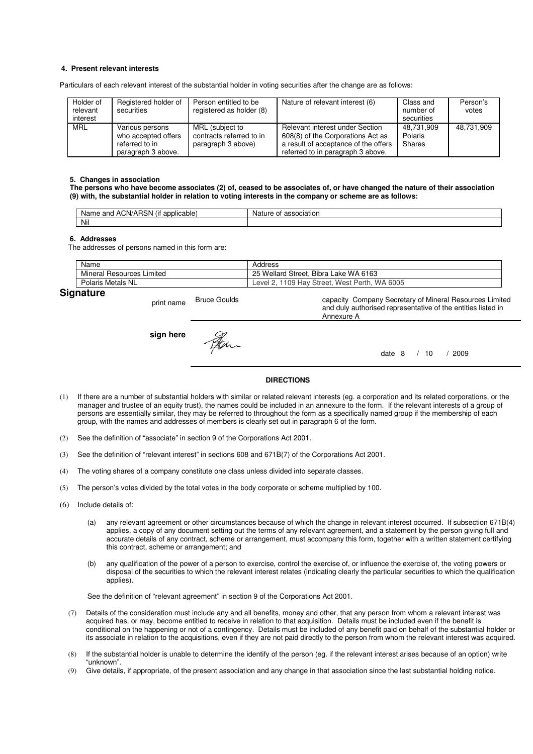## **4. Present relevant interests**

Particulars of each relevant interest of the substantial holder in voting securities after the change are as follows:

| Holder of<br>relevant<br>interest | Registered holder of<br>securities                                             | Person entitled to be<br>registered as holder (8)                 | Nature of relevant interest (6)                                                                                                                   | Class and<br>number of<br>securities | Person's<br>votes |
|-----------------------------------|--------------------------------------------------------------------------------|-------------------------------------------------------------------|---------------------------------------------------------------------------------------------------------------------------------------------------|--------------------------------------|-------------------|
| MRL                               | Various persons<br>who accepted offers<br>referred to in<br>paragraph 3 above. | MRL (subject to<br>contracts referred to in<br>paragraph 3 above) | Relevant interest under Section<br>608(8) of the Corporations Act as<br>a result of acceptance of the offers<br>referred to in paragraph 3 above. | 48.731.909<br>Polaris<br>Shares      | 48.731.909        |

#### **5. Changes in association**

**The persons who have become associates (2) of, ceased to be associates of, or have changed the nature of their association (9) with, the substantial holder in relation to voting interests in the company or scheme are as follows:** 

| $\cdots$<br>ימ<br>ACN/AH<br>and<br>licable:<br>Name<br>ווסו<br>$-1111$<br>. . | ciation<br>Nai.<br>nt |
|-------------------------------------------------------------------------------|-----------------------|
| Nil                                                                           |                       |

#### **6. Addresses**

The addresses of persons named in this form are:

|    | Name                            | Address                                          |
|----|---------------------------------|--------------------------------------------------|
|    | Mineral<br>Resources<br>Limited | . Bibra Lake WA 6163<br>25 Wellard Street.       |
|    | Polaris Metals NL               | WA 6005<br>1109 Hay Street, West Perth,<br>Level |
| ~- |                                 |                                                  |

# **Signature**

print name Bruce Goulds capacity Company Secretary of Mineral Resources Limited and duly authorised representative of the entities listed in Annexure A **sign here** Fer. date 8 / 10 / 2009

### **DIRECTIONS**

- (1) If there are a number of substantial holders with similar or related relevant interests (eg. a corporation and its related corporations, or the manager and trustee of an equity trust), the names could be included in an annexure to the form. If the relevant interests of a group of persons are essentially similar, they may be referred to throughout the form as a specifically named group if the membership of each group, with the names and addresses of members is clearly set out in paragraph 6 of the form.
- (2) See the definition of "associate" in section 9 of the Corporations Act 2001.
- (3) See the definition of "relevant interest" in sections 608 and 671B(7) of the Corporations Act 2001.
- (4) The voting shares of a company constitute one class unless divided into separate classes.
- (5) The person's votes divided by the total votes in the body corporate or scheme multiplied by 100.
- (6) Include details of:
	- (a) any relevant agreement or other circumstances because of which the change in relevant interest occurred. If subsection 671B(4) applies, a copy of any document setting out the terms of any relevant agreement, and a statement by the person giving full and accurate details of any contract, scheme or arrangement, must accompany this form, together with a written statement certifying this contract, scheme or arrangement; and
	- (b) any qualification of the power of a person to exercise, control the exercise of, or influence the exercise of, the voting powers or disposal of the securities to which the relevant interest relates (indicating clearly the particular securities to which the qualification applies).

See the definition of "relevant agreement" in section 9 of the Corporations Act 2001.

- (7) Details of the consideration must include any and all benefits, money and other, that any person from whom a relevant interest was acquired has, or may, become entitled to receive in relation to that acquisition. Details must be included even if the benefit is conditional on the happening or not of a contingency. Details must be included of any benefit paid on behalf of the substantial holder or its associate in relation to the acquisitions, even if they are not paid directly to the person from whom the relevant interest was acquired.
- (8) If the substantial holder is unable to determine the identify of the person (eg. if the relevant interest arises because of an option) write "unknown".
- (9) Give details, if appropriate, of the present association and any change in that association since the last substantial holding notice.